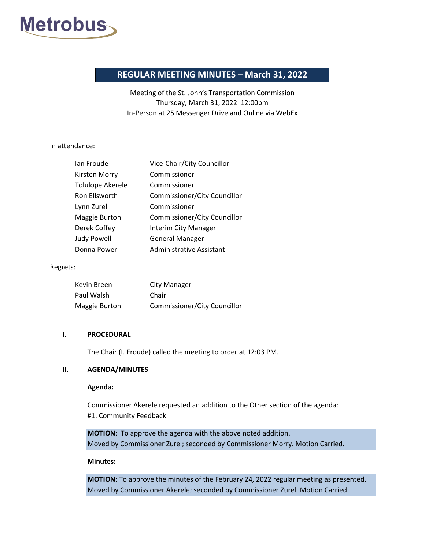

# **REGULAR MEETING MINUTES – March 31, 2022**

Meeting of the St. John's Transportation Commission Thursday, March 31, 2022 12:00pm In-Person at 25 Messenger Drive and Online via WebEx

#### In attendance:

| lan Froude              | Vice-Chair/City Councillor   |
|-------------------------|------------------------------|
| Kirsten Morry           | Commissioner                 |
| <b>Tolulope Akerele</b> | Commissioner                 |
| Ron Ellsworth           | Commissioner/City Councillor |
| Lynn Zurel              | Commissioner                 |
| <b>Maggie Burton</b>    | Commissioner/City Councillor |
| Derek Coffey            | Interim City Manager         |
| Judy Powell             | <b>General Manager</b>       |
| Donna Power             | Administrative Assistant     |

### Regrets:

| Kevin Breen   | City Manager                 |
|---------------|------------------------------|
| Paul Walsh    | Chair                        |
| Maggie Burton | Commissioner/City Councillor |

#### **I. PROCEDURAL**

The Chair (I. Froude) called the meeting to order at 12:03 PM.

# **II. AGENDA/MINUTES**

#### **Agenda:**

Commissioner Akerele requested an addition to the Other section of the agenda: #1. Community Feedback

**MOTION**: To approve the agenda with the above noted addition. Moved by Commissioner Zurel; seconded by Commissioner Morry. Motion Carried.

### **Minutes:**

**MOTION**: To approve the minutes of the February 24, 2022 regular meeting as presented. Moved by Commissioner Akerele; seconded by Commissioner Zurel. Motion Carried.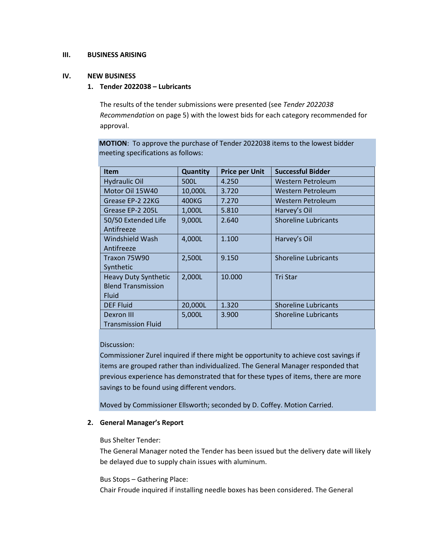# **III. BUSINESS ARISING**

# **IV. NEW BUSINESS**

# **1. Tender 2022038 – Lubricants**

The results of the tender submissions were presented (see *Tender 2022038 Recommendation* on page 5) with the lowest bids for each category recommended for approval.

**MOTION**: To approve the purchase of Tender 2022038 items to the lowest bidder meeting specifications as follows:

| <b>Item</b>                 | Quantity | <b>Price per Unit</b> | <b>Successful Bidder</b>    |
|-----------------------------|----------|-----------------------|-----------------------------|
| <b>Hydraulic Oil</b>        | 500L     | 4.250                 | Western Petroleum           |
| Motor Oil 15W40             | 10,000L  | 3.720                 | Western Petroleum           |
| Grease EP-2 22KG            | 400KG    | 7.270                 | Western Petroleum           |
| Grease EP-2 205L            | 1,000L   | 5.810                 | Harvey's Oil                |
| 50/50 Extended Life         | 9,000L   | 2.640                 | <b>Shoreline Lubricants</b> |
| Antifreeze                  |          |                       |                             |
| Windshield Wash             | 4,000L   | 1.100                 | Harvey's Oil                |
| Antifreeze                  |          |                       |                             |
| Traxon 75W90                | 2,500L   | 9.150                 | <b>Shoreline Lubricants</b> |
| Synthetic                   |          |                       |                             |
| <b>Heavy Duty Synthetic</b> | 2,000L   | 10.000                | <b>Tri Star</b>             |
| <b>Blend Transmission</b>   |          |                       |                             |
| <b>Fluid</b>                |          |                       |                             |
| <b>DEF Fluid</b>            | 20,000L  | 1.320                 | <b>Shoreline Lubricants</b> |
| Dexron III                  | 5,000L   | 3.900                 | <b>Shoreline Lubricants</b> |
| <b>Transmission Fluid</b>   |          |                       |                             |

# Discussion:

Commissioner Zurel inquired if there might be opportunity to achieve cost savings if items are grouped rather than individualized. The General Manager responded that previous experience has demonstrated that for these types of items, there are more savings to be found using different vendors.

Moved by Commissioner Ellsworth; seconded by D. Coffey. Motion Carried.

# **2. General Manager's Report**

### Bus Shelter Tender:

The General Manager noted the Tender has been issued but the delivery date will likely be delayed due to supply chain issues with aluminum.

### Bus Stops – Gathering Place:

Chair Froude inquired if installing needle boxes has been considered. The General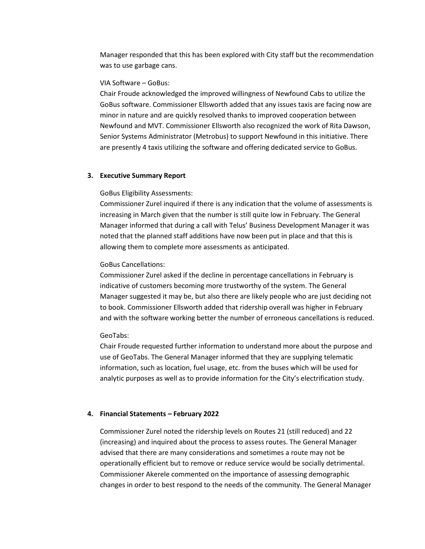Manager responded that this has been explored with City staff but the recommendation was to use garbage cans.

#### VIA Software – GoBus:

Chair Froude acknowledged the improved willingness of Newfound Cabs to utilize the GoBus software. Commissioner Ellsworth added that any issues taxis are facing now are minor in nature and are quickly resolved thanks to improved cooperation between Newfound and MVT. Commissioner Ellsworth also recognized the work of Rita Dawson, Senior Systems Administrator (Metrobus) to support Newfound in this initiative. There are presently 4 taxis utilizing the software and offering dedicated service to GoBus.

### **3. Executive Summary Report**

#### GoBus Eligibility Assessments:

Commissioner Zurel inquired if there is any indication that the volume of assessments is increasing in March given that the number is still quite low in February. The General Manager informed that during a call with Telus' Business Development Manager it was noted that the planned staff additions have now been put in place and that this is allowing them to complete more assessments as anticipated.

#### GoBus Cancellations:

Commissioner Zurel asked if the decline in percentage cancellations in February is indicative of customers becoming more trustworthy of the system. The General Manager suggested it may be, but also there are likely people who are just deciding not to book. Commissioner Ellsworth added that ridership overall was higher in February and with the software working better the number of erroneous cancellations is reduced.

#### GeoTabs:

Chair Froude requested further information to understand more about the purpose and use of GeoTabs. The General Manager informed that they are supplying telematic information, such as location, fuel usage, etc. from the buses which will be used for analytic purposes as well as to provide information for the City's electrification study.

#### **4. Financial Statements – February 2022**

Commissioner Zurel noted the ridership levels on Routes 21 (still reduced) and 22 (increasing) and inquired about the process to assess routes. The General Manager advised that there are many considerations and sometimes a route may not be operationally efficient but to remove or reduce service would be socially detrimental. Commissioner Akerele commented on the importance of assessing demographic changes in order to best respond to the needs of the community. The General Manager